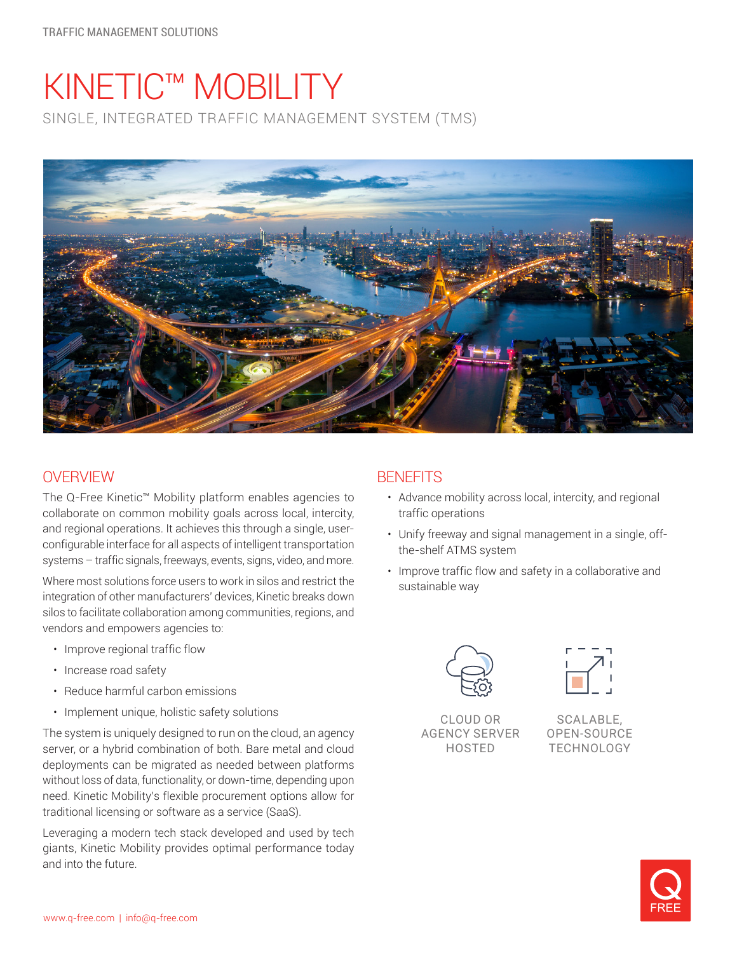# KINETIC™ MOBILITY SINGLE, INTEGRATED TRAFFIC MANAGEMENT SYSTEM (TMS)



## **OVERVIEW**

The Q-Free Kinetic™ Mobility platform enables agencies to collaborate on common mobility goals across local, intercity, and regional operations. It achieves this through a single, userconfigurable interface for all aspects of intelligent transportation systems – traffic signals, freeways, events, signs, video, and more.

Where most solutions force users to work in silos and restrict the integration of other manufacturers' devices, Kinetic breaks down silos to facilitate collaboration among communities, regions, and vendors and empowers agencies to:

- Improve regional traffic flow
- Increase road safety
- Reduce harmful carbon emissions
- Implement unique, holistic safety solutions

The system is uniquely designed to run on the cloud, an agency server, or a hybrid combination of both. Bare metal and cloud deployments can be migrated as needed between platforms without loss of data, functionality, or down-time, depending upon need. Kinetic Mobility's flexible procurement options allow for traditional licensing or software as a service (SaaS).

Leveraging a modern tech stack developed and used by tech giants, Kinetic Mobility provides optimal performance today and into the future.

## **BENFFITS**

- Advance mobility across local, intercity, and regional traffic operations
- Unify freeway and signal management in a single, offthe-shelf ATMS system
- Improve traffic flow and safety in a collaborative and sustainable way





CLOUD OR AGENCY SERVER HOSTED

SCALABLE, OPEN-SOURCE TECHNOLOGY